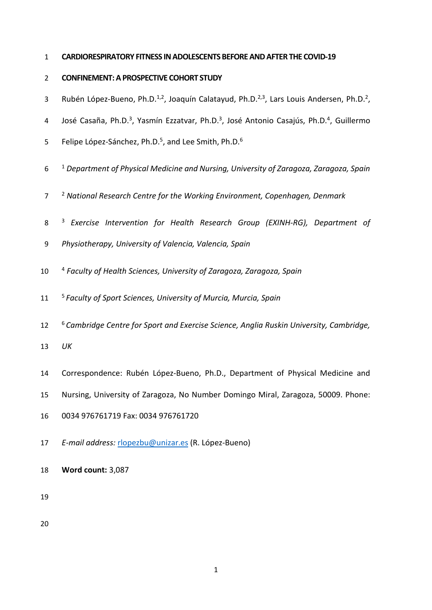### **CARDIORESPIRATORY FITNESS IN ADOLESCENTS BEFORE AND AFTERTHE COVID-19**

## **CONFINEMENT: A PROSPECTIVE COHORT STUDY**

- 3 Rubén López-Bueno, Ph.D.<sup>1,2</sup>, Joaquín Calatayud, Ph.D.<sup>2,3</sup>, Lars Louis Andersen, Ph.D.<sup>2</sup>,
- 4 José Casaña, Ph.D.<sup>3</sup>, Yasmín Ezzatvar, Ph.D.<sup>3</sup>, José Antonio Casajús, Ph.D.<sup>4</sup>, Guillermo
- 5 Felipe López-Sánchez, Ph.D.<sup>5</sup>, and Lee Smith, Ph.D.<sup>6</sup>
- <sup>1</sup> *Department of Physical Medicine and Nursing, University of Zaragoza, Zaragoza, Spain*
- <sup>2</sup> *National Research Centre for the Working Environment, Copenhagen, Denmark*
- <sup>3</sup> *Exercise Intervention for Health Research Group (EXINH-RG), Department of*
- *Physiotherapy, University of Valencia, Valencia, Spain*
- <sup>4</sup> *Faculty of Health Sciences, University of Zaragoza, Zaragoza, Spain*
- <sup>5</sup> *Faculty of Sport Sciences, University of Murcia, Murcia, Spain*
- <sup>6</sup> *Cambridge Centre for Sport and Exercise Science, Anglia Ruskin University, Cambridge,*
- *UK*
- Correspondence: Rubén López-Bueno, Ph.D., Department of Physical Medicine and
- Nursing, University of Zaragoza, No Number Domingo Miral, Zaragoza, 50009. Phone:
- 0034 976761719 Fax: 0034 976761720
- *E-mail address:* [rlopezbu@unizar.es](mailto:rlopezbu@unizar.es) (R. López-Bueno)
- **Word count:** 3,087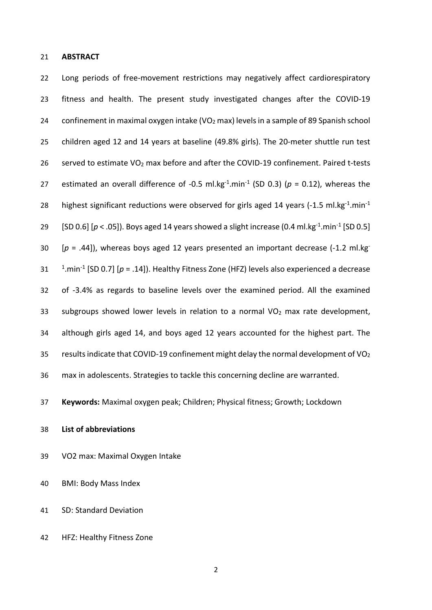**ABSTRACT**

 Long periods of free-movement restrictions may negatively affect cardiorespiratory fitness and health. The present study investigated changes after the COVID-19 24 confinement in maximal oxygen intake (VO<sub>2</sub> max) levels in a sample of 89 Spanish school children aged 12 and 14 years at baseline (49.8% girls). The 20-meter shuttle run test 26 served to estimate  $VO<sub>2</sub>$  max before and after the COVID-19 confinement. Paired t-tests 27 estimated an overall difference of -0.5 ml.kg<sup>-1</sup>.min<sup>-1</sup> (SD 0.3) ( $p = 0.12$ ), whereas the 28 highest significant reductions were observed for girls aged 14 years (-1.5 ml.kg $^{-1}$ .min $^{-1}$ [SD 0.6]  $[p < .05]$ . Boys aged 14 years showed a slight increase (0.4 ml.kg<sup>-1</sup>.min<sup>-1</sup> [SD 0.5] 30 [ $p = .44$ ]), whereas boys aged 12 years presented an important decrease (-1.2 ml.kg<sup>-</sup> 1.min-1 [SD 0.7] [*p* = .14]). Healthy Fitness Zone (HFZ) levels also experienced a decrease of -3.4% as regards to baseline levels over the examined period. All the examined 33 subgroups showed lower levels in relation to a normal  $VO<sub>2</sub>$  max rate development, although girls aged 14, and boys aged 12 years accounted for the highest part. The 35 results indicate that COVID-19 confinement might delay the normal development of  $VO<sub>2</sub>$ max in adolescents. Strategies to tackle this concerning decline are warranted.

**Keywords:** Maximal oxygen peak; Children; Physical fitness; Growth; Lockdown

- **List of abbreviations**
- VO2 max: Maximal Oxygen Intake

BMI: Body Mass Index

- SD: Standard Deviation
- HFZ: Healthy Fitness Zone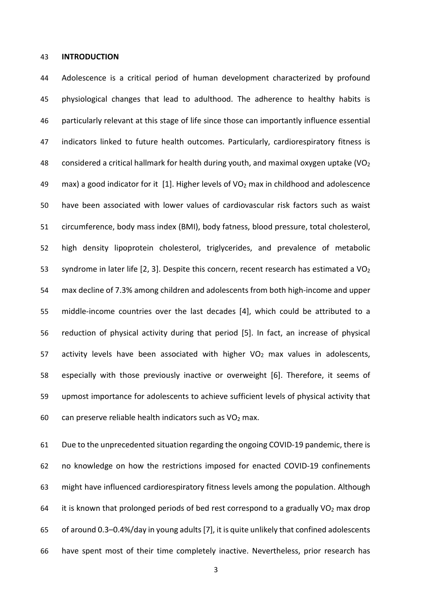#### **INTRODUCTION**

 Adolescence is a critical period of human development characterized by profound physiological changes that lead to adulthood. The adherence to healthy habits is particularly relevant at this stage of life since those can importantly influence essential indicators linked to future health outcomes. Particularly, cardiorespiratory fitness is 48 considered a critical hallmark for health during youth, and maximal oxygen uptake (VO<sub>2</sub> 49 max) a good indicator for it [1]. Higher levels of  $VO<sub>2</sub>$  max in childhood and adolescence have been associated with lower values of cardiovascular risk factors such as waist circumference, body mass index (BMI), body fatness, blood pressure, total cholesterol, high density lipoprotein cholesterol, triglycerides, and prevalence of metabolic 53 syndrome in later life  $[2, 3]$ . Despite this concern, recent research has estimated a VO<sub>2</sub> max decline of 7.3% among children and adolescents from both high-income and upper middle-income countries over the last decades [4], which could be attributed to a reduction of physical activity during that period [5]. In fact, an increase of physical 57 activity levels have been associated with higher  $VO<sub>2</sub>$  max values in adolescents, especially with those previously inactive or overweight [6]. Therefore, it seems of upmost importance for adolescents to achieve sufficient levels of physical activity that 60 can preserve reliable health indicators such as  $VO<sub>2</sub>$  max.

 Due to the unprecedented situation regarding the ongoing COVID-19 pandemic, there is no knowledge on how the restrictions imposed for enacted COVID-19 confinements might have influenced cardiorespiratory fitness levels among the population. Although 64 it is known that prolonged periods of bed rest correspond to a gradually  $VO<sub>2</sub>$  max drop of around 0.3–0.4%/day in young adults [7], it is quite unlikely that confined adolescents have spent most of their time completely inactive. Nevertheless, prior research has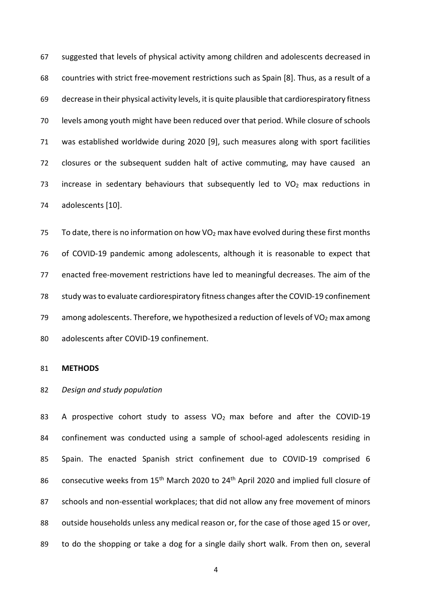suggested that levels of physical activity among children and adolescents decreased in countries with strict free-movement restrictions such as Spain [8]. Thus, as a result of a decrease in their physical activity levels, it is quite plausible that cardiorespiratory fitness levels among youth might have been reduced over that period. While closure of schools was established worldwide during 2020 [9], such measures along with sport facilities closures or the subsequent sudden halt of active commuting, may have caused an 73 increase in sedentary behaviours that subsequently led to  $VO<sub>2</sub>$  max reductions in adolescents [10].

75 To date, there is no information on how  $VO<sub>2</sub>$  max have evolved during these first months of COVID-19 pandemic among adolescents, although it is reasonable to expect that enacted free-movement restrictions have led to meaningful decreases. The aim of the study was to evaluate cardiorespiratory fitness changes after the COVID-19 confinement 79 among adolescents. Therefore, we hypothesized a reduction of levels of  $VO<sub>2</sub>$  max among adolescents after COVID-19 confinement.

#### **METHODS**

#### *Design and study population*

83 A prospective cohort study to assess  $VO<sub>2</sub>$  max before and after the COVID-19 confinement was conducted using a sample of school-aged adolescents residing in Spain. The enacted Spanish strict confinement due to COVID-19 comprised 6 86 consecutive weeks from 15<sup>th</sup> March 2020 to 24<sup>th</sup> April 2020 and implied full closure of schools and non-essential workplaces; that did not allow any free movement of minors 88 outside households unless any medical reason or, for the case of those aged 15 or over, to do the shopping or take a dog for a single daily short walk. From then on, several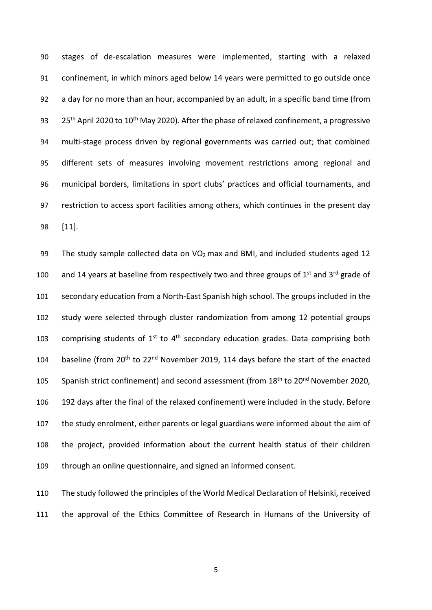stages of de-escalation measures were implemented, starting with a relaxed confinement, in which minors aged below 14 years were permitted to go outside once a day for no more than an hour, accompanied by an adult, in a specific band time (from  $25<sup>th</sup>$  April 2020 to 10<sup>th</sup> May 2020). After the phase of relaxed confinement, a progressive multi-stage process driven by regional governments was carried out; that combined different sets of measures involving movement restrictions among regional and municipal borders, limitations in sport clubs' practices and official tournaments, and restriction to access sport facilities among others, which continues in the present day [11].

99 The study sample collected data on  $VO<sub>2</sub>$  max and BMI, and included students aged 12 100 and 14 years at baseline from respectively two and three groups of  $1<sup>st</sup>$  and  $3<sup>rd</sup>$  grade of secondary education from a North-East Spanish high school. The groups included in the study were selected through cluster randomization from among 12 potential groups 103 comprising students of  $1^{st}$  to  $4^{th}$  secondary education grades. Data comprising both 104 baseline (from  $20<sup>th</sup>$  to  $22<sup>nd</sup>$  November 2019, 114 days before the start of the enacted 105 Spanish strict confinement) and second assessment (from 18<sup>th</sup> to 20<sup>nd</sup> November 2020, 192 days after the final of the relaxed confinement) were included in the study. Before the study enrolment, either parents or legal guardians were informed about the aim of the project, provided information about the current health status of their children through an online questionnaire, and signed an informed consent.

 The study followed the principles of the World Medical Declaration of Helsinki, received the approval of the Ethics Committee of Research in Humans of the University of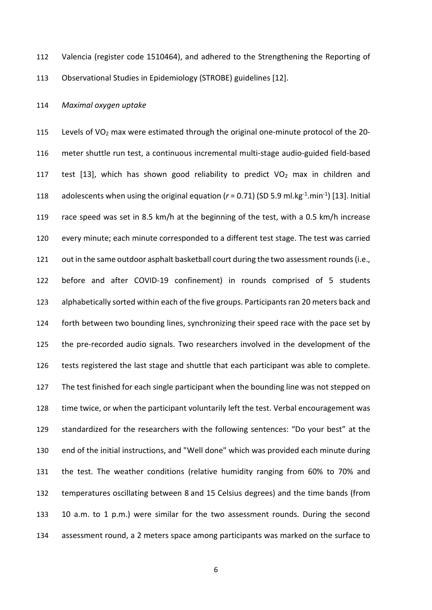Valencia (register code 1510464), and adhered to the Strengthening the Reporting of Observational Studies in Epidemiology (STROBE) guidelines [12].

### *Maximal oxygen uptake*

 Levels of VO2 max were estimated through the original one-minute protocol of the 20- meter shuttle run test, a continuous incremental multi-stage audio-guided field-based 117 test [13], which has shown good reliability to predict  $VO<sub>2</sub>$  max in children and 118 adolescents when using the original equation  $(r = 0.71)$  (SD 5.9 ml.kg<sup>-1</sup>.min<sup>-1</sup>) [13]. Initial race speed was set in 8.5 km/h at the beginning of the test, with a 0.5 km/h increase every minute; each minute corresponded to a different test stage. The test was carried 121 out in the same outdoor asphalt basketball court during the two assessment rounds (i.e., before and after COVID-19 confinement) in rounds comprised of 5 students alphabetically sorted within each of the five groups. Participants ran 20 meters back and forth between two bounding lines, synchronizing their speed race with the pace set by the pre-recorded audio signals. Two researchers involved in the development of the tests registered the last stage and shuttle that each participant was able to complete. The test finished for each single participant when the bounding line was not stepped on time twice, or when the participant voluntarily left the test. Verbal encouragement was standardized for the researchers with the following sentences: "Do your best" at the end of the initial instructions, and "Well done" which was provided each minute during the test. The weather conditions (relative humidity ranging from 60% to 70% and temperatures oscillating between 8 and 15 Celsius degrees) and the time bands (from 10 a.m. to 1 p.m.) were similar for the two assessment rounds. During the second assessment round, a 2 meters space among participants was marked on the surface to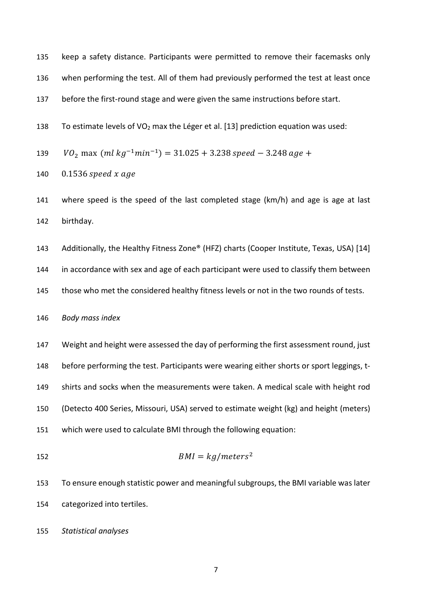keep a safety distance. Participants were permitted to remove their facemasks only

when performing the test. All of them had previously performed the test at least once

before the first-round stage and were given the same instructions before start.

138 To estimate levels of VO<sub>2</sub> max the Léger et al. [13] prediction equation was used:

139 
$$
VO_2
$$
 max  $(ml kg^{-1}min^{-1}) = 31.025 + 3.238$  speed - 3.248 age +

- 140  $0.1536$  speed x age
- where speed is the speed of the last completed stage (km/h) and age is age at last birthday.
- 143 Additionally, the Healthy Fitness Zone® (HFZ) charts (Cooper Institute, Texas, USA) [14]

in accordance with sex and age of each participant were used to classify them between

those who met the considered healthy fitness levels or not in the two rounds of tests.

*Body mass index*

- Weight and height were assessed the day of performing the first assessment round, just 148 before performing the test. Participants were wearing either shorts or sport leggings, t- shirts and socks when the measurements were taken. A medical scale with height rod (Detecto 400 Series, Missouri, USA) served to estimate weight (kg) and height (meters) which were used to calculate BMI through the following equation:
- $BMI = kg/meters^2$
- To ensure enough statistic power and meaningful subgroups, the BMI variable was later categorized into tertiles.

*Statistical analyses*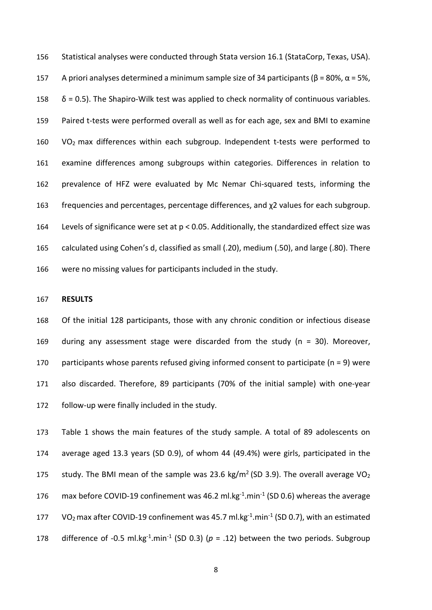Statistical analyses were conducted through Stata version 16.1 (StataCorp, Texas, USA). 157 A priori analyses determined a minimum sample size of 34 participants ( $\beta$  = 80%,  $\alpha$  = 5%,  $\delta$  = 0.5). The Shapiro-Wilk test was applied to check normality of continuous variables. Paired t-tests were performed overall as well as for each age, sex and BMI to examine VO2 max differences within each subgroup. Independent t-tests were performed to examine differences among subgroups within categories. Differences in relation to prevalence of HFZ were evaluated by Mc Nemar Chi-squared tests, informing the frequencies and percentages, percentage differences, and χ2 values for each subgroup. Levels of significance were set at p < 0.05. Additionally, the standardized effect size was calculated using Cohen's d, classified as small (.20), medium (.50), and large (.80). There were no missing values for participants included in the study.

#### **RESULTS**

 Of the initial 128 participants, those with any chronic condition or infectious disease during any assessment stage were discarded from the study (n = 30). Moreover, participants whose parents refused giving informed consent to participate (n = 9) were also discarded. Therefore, 89 participants (70% of the initial sample) with one-year follow-up were finally included in the study.

 Table 1 shows the main features of the study sample. A total of 89 adolescents on average aged 13.3 years (SD 0.9), of whom 44 (49.4%) were girls, participated in the 175 study. The BMI mean of the sample was 23.6 kg/m<sup>2</sup> (SD 3.9). The overall average VO<sub>2</sub> 176 max before COVID-19 confinement was 46.2 ml.kg $^{-1}$ .min $^{-1}$  (SD 0.6) whereas the average 177 VO<sub>2</sub> max after COVID-19 confinement was 45.7 ml.kg<sup>-1</sup>.min<sup>-1</sup> (SD 0.7), with an estimated 178 difference of -0.5 ml.kg<sup>-1</sup>.min<sup>-1</sup> (SD 0.3) ( $p = .12$ ) between the two periods. Subgroup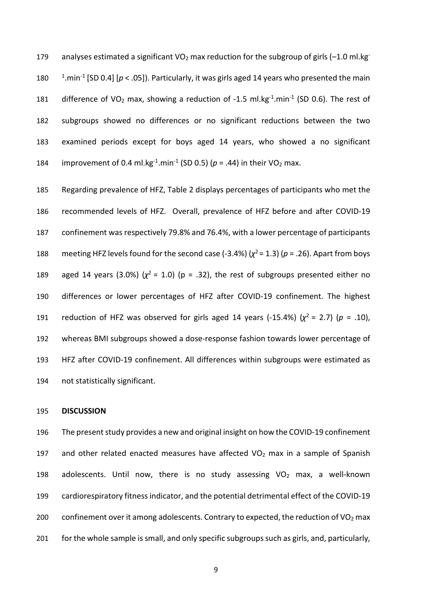179 analyses estimated a significant VO<sub>2</sub> max reduction for the subgroup of girls (-1.0 ml.kg<sup>-</sup> 180  $^{-1}$ .min<sup>-1</sup> [SD 0.4] [ $p <$  .05]). Particularly, it was girls aged 14 years who presented the main 181 difference of VO<sub>2</sub> max, showing a reduction of -1.5 ml.kg<sup>-1</sup>.min<sup>-1</sup> (SD 0.6). The rest of 182 subgroups showed no differences or no significant reductions between the two 183 examined periods except for boys aged 14 years, who showed a no significant 184 improvement of 0.4 ml.kg<sup>-1</sup>.min<sup>-1</sup> (SD 0.5) ( $p = .44$ ) in their VO<sub>2</sub> max.

 Regarding prevalence of HFZ, Table 2 displays percentages of participants who met the recommended levels of HFZ. Overall, prevalence of HFZ before and after COVID-19 confinement was respectively 79.8% and 76.4%, with a lower percentage of participants 188 meeting HFZ levels found for the second case  $(-3.4%)$   $(\chi^2 = 1.3)$   $(p = .26)$ . Apart from boys aged 14 years (3.0%) ( $\chi^2$  = 1.0) (p = .32), the rest of subgroups presented either no differences or lower percentages of HFZ after COVID-19 confinement. The highest reduction of HFZ was observed for girls aged 14 years (-15.4%) ( $\chi^2$  = 2.7) ( $p = .10$ ), whereas BMI subgroups showed a dose-response fashion towards lower percentage of HFZ after COVID-19 confinement. All differences within subgroups were estimated as not statistically significant.

#### 195 **DISCUSSION**

196 The present study provides a new and original insight on how the COVID-19 confinement 197 and other related enacted measures have affected  $VO<sub>2</sub>$  max in a sample of Spanish 198 adolescents. Until now, there is no study assessing  $VO<sub>2</sub>$  max, a well-known 199 cardiorespiratory fitness indicator, and the potential detrimental effect of the COVID-19 200 confinement over it among adolescents. Contrary to expected, the reduction of VO<sub>2</sub> max 201 for the whole sample is small, and only specific subgroups such as girls, and, particularly,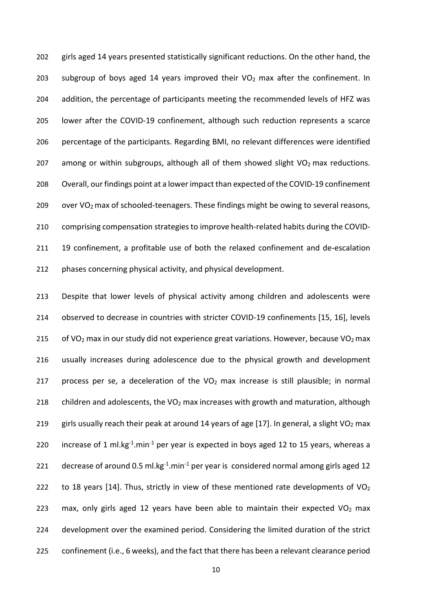girls aged 14 years presented statistically significant reductions. On the other hand, the 203 subgroup of boys aged 14 years improved their  $VO<sub>2</sub>$  max after the confinement. In addition, the percentage of participants meeting the recommended levels of HFZ was lower after the COVID-19 confinement, although such reduction represents a scarce percentage of the participants. Regarding BMI, no relevant differences were identified 207 among or within subgroups, although all of them showed slight  $VO<sub>2</sub>$  max reductions. Overall, our findings point at a lower impact than expected of the COVID-19 confinement 209 over VO<sub>2</sub> max of schooled-teenagers. These findings might be owing to several reasons, comprising compensation strategies to improve health-related habits during the COVID- 19 confinement, a profitable use of both the relaxed confinement and de-escalation phases concerning physical activity, and physical development.

213 Despite that lower levels of physical activity among children and adolescents were 214 observed to decrease in countries with stricter COVID-19 confinements [15, 16], levels 215 of VO<sub>2</sub> max in our study did not experience great variations. However, because VO<sub>2</sub> max 216 usually increases during adolescence due to the physical growth and development 217 process per se, a deceleration of the  $VO<sub>2</sub>$  max increase is still plausible; in normal 218 children and adolescents, the VO<sub>2</sub> max increases with growth and maturation, although 219 girls usually reach their peak at around 14 years of age [17]. In general, a slight VO<sub>2</sub> max 220 increase of 1 ml.kg<sup>-1</sup>.min<sup>-1</sup> per year is expected in boys aged 12 to 15 years, whereas a 221 decrease of around 0.5 ml.kg $^{-1}$ .min $^{-1}$  per year is considered normal among girls aged 12 222 to 18 years [14]. Thus, strictly in view of these mentioned rate developments of  $VO<sub>2</sub>$ 223 max, only girls aged 12 years have been able to maintain their expected  $VO<sub>2</sub>$  max 224 development over the examined period. Considering the limited duration of the strict 225 confinement (i.e., 6 weeks), and the fact that there has been a relevant clearance period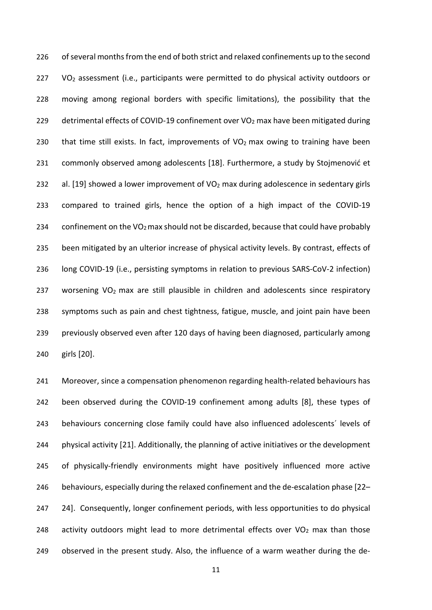226 of several months from the end of both strict and relaxed confinements up to the second VO<sub>2</sub> assessment (i.e., participants were permitted to do physical activity outdoors or moving among regional borders with specific limitations), the possibility that the 229 detrimental effects of COVID-19 confinement over VO<sub>2</sub> max have been mitigated during 230 that time still exists. In fact, improvements of  $VO<sub>2</sub>$  max owing to training have been commonly observed among adolescents [18]. Furthermore, a study by Stojmenović et 232 al. [19] showed a lower improvement of  $VO<sub>2</sub>$  max during adolescence in sedentary girls compared to trained girls, hence the option of a high impact of the COVID-19 234 confinement on the VO<sub>2</sub> max should not be discarded, because that could have probably been mitigated by an ulterior increase of physical activity levels. By contrast, effects of long COVID-19 (i.e., persisting symptoms in relation to previous SARS-CoV-2 infection) 237 worsening  $VO<sub>2</sub>$  max are still plausible in children and adolescents since respiratory symptoms such as pain and chest tightness, fatigue, muscle, and joint pain have been previously observed even after 120 days of having been diagnosed, particularly among girls [20].

 Moreover, since a compensation phenomenon regarding health-related behaviours has been observed during the COVID-19 confinement among adults [8], these types of 243 behaviours concerning close family could have also influenced adolescents' levels of physical activity [21]. Additionally, the planning of active initiatives or the development of physically-friendly environments might have positively influenced more active behaviours, especially during the relaxed confinement and the de-escalation phase [22– 24]. Consequently, longer confinement periods, with less opportunities to do physical 248 activity outdoors might lead to more detrimental effects over  $VO<sub>2</sub>$  max than those observed in the present study. Also, the influence of a warm weather during the de-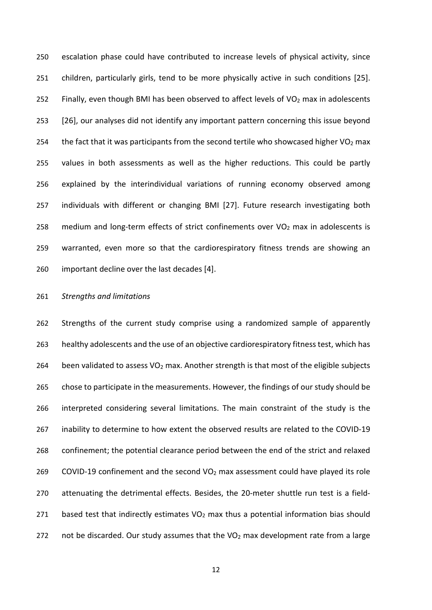escalation phase could have contributed to increase levels of physical activity, since children, particularly girls, tend to be more physically active in such conditions [25]. 252 Finally, even though BMI has been observed to affect levels of  $VO<sub>2</sub>$  max in adolescents [26], our analyses did not identify any important pattern concerning this issue beyond 254 the fact that it was participants from the second tertile who showcased higher  $VO<sub>2</sub>$  max values in both assessments as well as the higher reductions. This could be partly explained by the interindividual variations of running economy observed among individuals with different or changing BMI [27]. Future research investigating both 258 medium and long-term effects of strict confinements over  $VO<sub>2</sub>$  max in adolescents is warranted, even more so that the cardiorespiratory fitness trends are showing an important decline over the last decades [4].

### *Strengths and limitations*

 Strengths of the current study comprise using a randomized sample of apparently healthy adolescents and the use of an objective cardiorespiratory fitness test, which has 264 been validated to assess  $VO<sub>2</sub>$  max. Another strength is that most of the eligible subjects chose to participate in the measurements. However, the findings of our study should be interpreted considering several limitations. The main constraint of the study is the inability to determine to how extent the observed results are related to the COVID-19 confinement; the potential clearance period between the end of the strict and relaxed 269 COVID-19 confinement and the second  $VO<sub>2</sub>$  max assessment could have played its role attenuating the detrimental effects. Besides, the 20-meter shuttle run test is a field-271 based test that indirectly estimates  $VO<sub>2</sub>$  max thus a potential information bias should 272 not be discarded. Our study assumes that the  $VO<sub>2</sub>$  max development rate from a large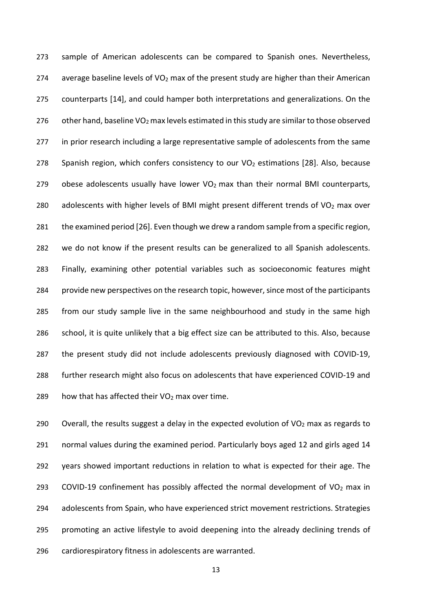sample of American adolescents can be compared to Spanish ones. Nevertheless, 274 average baseline levels of  $VO<sub>2</sub>$  max of the present study are higher than their American counterparts [14], and could hamper both interpretations and generalizations. On the 276 other hand, baseline VO<sub>2</sub> max levels estimated in this study are similar to those observed in prior research including a large representative sample of adolescents from the same 278 Spanish region, which confers consistency to our  $VO<sub>2</sub>$  estimations [28]. Also, because 279 obese adolescents usually have lower  $VO<sub>2</sub>$  max than their normal BMI counterparts, 280 adolescents with higher levels of BMI might present different trends of  $VO<sub>2</sub>$  max over the examined period [26]. Even though we drew a random sample from a specific region, we do not know if the present results can be generalized to all Spanish adolescents. Finally, examining other potential variables such as socioeconomic features might provide new perspectives on the research topic, however, since most of the participants from our study sample live in the same neighbourhood and study in the same high school, it is quite unlikely that a big effect size can be attributed to this. Also, because the present study did not include adolescents previously diagnosed with COVID-19, further research might also focus on adolescents that have experienced COVID-19 and 289 how that has affected their  $VO<sub>2</sub>$  max over time.

290 Overall, the results suggest a delay in the expected evolution of  $VO<sub>2</sub>$  max as regards to normal values during the examined period. Particularly boys aged 12 and girls aged 14 years showed important reductions in relation to what is expected for their age. The 293 COVID-19 confinement has possibly affected the normal development of VO<sub>2</sub> max in adolescents from Spain, who have experienced strict movement restrictions. Strategies promoting an active lifestyle to avoid deepening into the already declining trends of cardiorespiratory fitness in adolescents are warranted.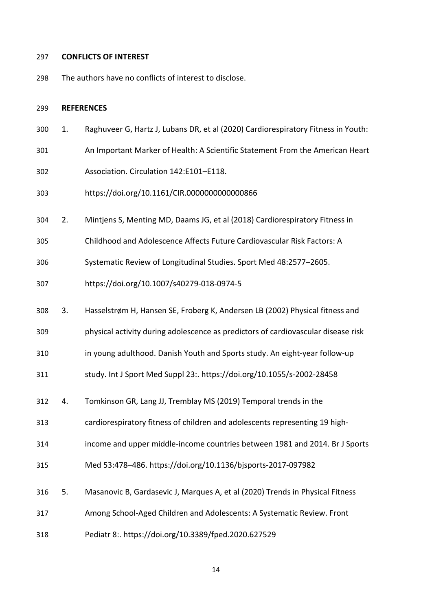# **CONFLICTS OF INTEREST**

The authors have no conflicts of interest to disclose.

#### **REFERENCES**

- 1. Raghuveer G, Hartz J, Lubans DR, et al (2020) Cardiorespiratory Fitness in Youth:
- An Important Marker of Health: A Scientific Statement From the American Heart
- Association. Circulation 142:E101–E118.
- https://doi.org/10.1161/CIR.0000000000000866
- 2. Mintjens S, Menting MD, Daams JG, et al (2018) Cardiorespiratory Fitness in
- Childhood and Adolescence Affects Future Cardiovascular Risk Factors: A
- Systematic Review of Longitudinal Studies. Sport Med 48:2577–2605.
- https://doi.org/10.1007/s40279-018-0974-5
- 3. Hasselstrøm H, Hansen SE, Froberg K, Andersen LB (2002) Physical fitness and
- physical activity during adolescence as predictors of cardiovascular disease risk
- in young adulthood. Danish Youth and Sports study. An eight-year follow-up
- study. Int J Sport Med Suppl 23:. https://doi.org/10.1055/s-2002-28458
- 4. Tomkinson GR, Lang JJ, Tremblay MS (2019) Temporal trends in the
- cardiorespiratory fitness of children and adolescents representing 19 high-
- income and upper middle-income countries between 1981 and 2014. Br J Sports
- Med 53:478–486. https://doi.org/10.1136/bjsports-2017-097982
- 5. Masanovic B, Gardasevic J, Marques A, et al (2020) Trends in Physical Fitness
- Among School-Aged Children and Adolescents: A Systematic Review. Front
- Pediatr 8:. https://doi.org/10.3389/fped.2020.627529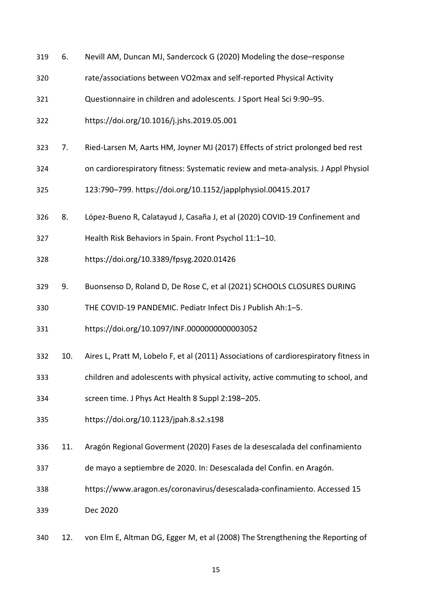| 319 | 6.  | Nevill AM, Duncan MJ, Sandercock G (2020) Modeling the dose-response                  |
|-----|-----|---------------------------------------------------------------------------------------|
| 320 |     | rate/associations between VO2max and self-reported Physical Activity                  |
| 321 |     | Questionnaire in children and adolescents. J Sport Heal Sci 9:90-95.                  |
| 322 |     | https://doi.org/10.1016/j.jshs.2019.05.001                                            |
| 323 | 7.  | Ried-Larsen M, Aarts HM, Joyner MJ (2017) Effects of strict prolonged bed rest        |
| 324 |     | on cardiorespiratory fitness: Systematic review and meta-analysis. J Appl Physiol     |
| 325 |     | 123:790-799. https://doi.org/10.1152/japplphysiol.00415.2017                          |
| 326 | 8.  | López-Bueno R, Calatayud J, Casaña J, et al (2020) COVID-19 Confinement and           |
| 327 |     | Health Risk Behaviors in Spain. Front Psychol 11:1-10.                                |
| 328 |     | https://doi.org/10.3389/fpsyg.2020.01426                                              |
| 329 | 9.  | Buonsenso D, Roland D, De Rose C, et al (2021) SCHOOLS CLOSURES DURING                |
| 330 |     | THE COVID-19 PANDEMIC. Pediatr Infect Dis J Publish Ah:1-5.                           |
| 331 |     | https://doi.org/10.1097/INF.0000000000003052                                          |
| 332 | 10. | Aires L, Pratt M, Lobelo F, et al (2011) Associations of cardiorespiratory fitness in |
| 333 |     | children and adolescents with physical activity, active commuting to school, and      |
| 334 |     | screen time. J Phys Act Health 8 Suppl 2:198-205.                                     |
| 335 |     | https://doi.org/10.1123/jpah.8.s2.s198                                                |
| 336 | 11. | Aragón Regional Goverment (2020) Fases de la desescalada del confinamiento            |
| 337 |     | de mayo a septiembre de 2020. In: Desescalada del Confin. en Aragón.                  |
| 338 |     | https://www.aragon.es/coronavirus/desescalada-confinamiento. Accessed 15              |
| 339 |     | Dec 2020                                                                              |
| 340 | 12. | von Elm E, Altman DG, Egger M, et al (2008) The Strengthening the Reporting of        |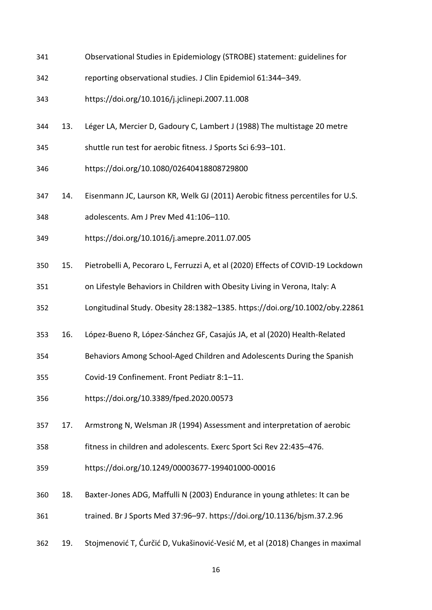- Observational Studies in Epidemiology (STROBE) statement: guidelines for
- reporting observational studies. J Clin Epidemiol 61:344–349.
- https://doi.org/10.1016/j.jclinepi.2007.11.008
- 13. Léger LA, Mercier D, Gadoury C, Lambert J (1988) The multistage 20 metre
- shuttle run test for aerobic fitness. J Sports Sci 6:93–101.
- https://doi.org/10.1080/02640418808729800
- 14. Eisenmann JC, Laurson KR, Welk GJ (2011) Aerobic fitness percentiles for U.S.
- adolescents. Am J Prev Med 41:106–110.
- https://doi.org/10.1016/j.amepre.2011.07.005
- 15. Pietrobelli A, Pecoraro L, Ferruzzi A, et al (2020) Effects of COVID-19 Lockdown
- on Lifestyle Behaviors in Children with Obesity Living in Verona, Italy: A
- Longitudinal Study. Obesity 28:1382–1385. https://doi.org/10.1002/oby.22861
- 16. López-Bueno R, López-Sánchez GF, Casajús JA, et al (2020) Health-Related
- Behaviors Among School-Aged Children and Adolescents During the Spanish
- Covid-19 Confinement. Front Pediatr 8:1–11.
- https://doi.org/10.3389/fped.2020.00573
- 17. Armstrong N, Welsman JR (1994) Assessment and interpretation of aerobic
- fitness in children and adolescents. Exerc Sport Sci Rev 22:435–476.
- https://doi.org/10.1249/00003677-199401000-00016
- 18. Baxter-Jones ADG, Maffulli N (2003) Endurance in young athletes: It can be trained. Br J Sports Med 37:96–97. https://doi.org/10.1136/bjsm.37.2.96
- 19. Stojmenović T, Ćurčić D, Vukašinović-Vesić M, et al (2018) Changes in maximal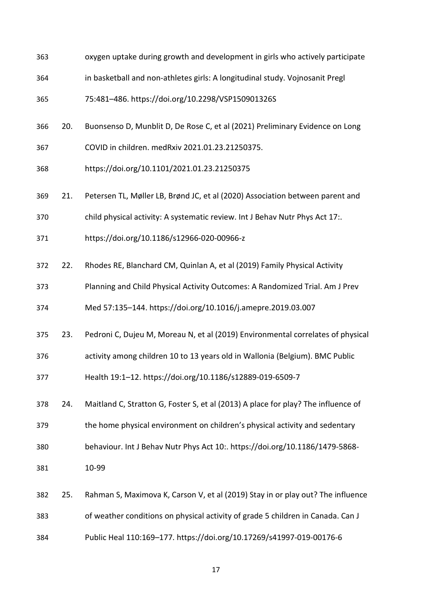| 363 |     | oxygen uptake during growth and development in girls who actively participate     |
|-----|-----|-----------------------------------------------------------------------------------|
| 364 |     | in basketball and non-athletes girls: A longitudinal study. Vojnosanit Pregl      |
| 365 |     | 75:481-486. https://doi.org/10.2298/VSP150901326S                                 |
| 366 | 20. | Buonsenso D, Munblit D, De Rose C, et al (2021) Preliminary Evidence on Long      |
| 367 |     | COVID in children. medRxiv 2021.01.23.21250375.                                   |
| 368 |     | https://doi.org/10.1101/2021.01.23.21250375                                       |
| 369 | 21. | Petersen TL, Møller LB, Brønd JC, et al (2020) Association between parent and     |
| 370 |     | child physical activity: A systematic review. Int J Behav Nutr Phys Act 17:.      |
| 371 |     | https://doi.org/10.1186/s12966-020-00966-z                                        |
| 372 | 22. | Rhodes RE, Blanchard CM, Quinlan A, et al (2019) Family Physical Activity         |
| 373 |     | Planning and Child Physical Activity Outcomes: A Randomized Trial. Am J Prev      |
| 374 |     | Med 57:135-144. https://doi.org/10.1016/j.amepre.2019.03.007                      |
| 375 | 23. | Pedroni C, Dujeu M, Moreau N, et al (2019) Environmental correlates of physical   |
| 376 |     | activity among children 10 to 13 years old in Wallonia (Belgium). BMC Public      |
| 377 |     | Health 19:1-12. https://doi.org/10.1186/s12889-019-6509-7                         |
| 378 | 24. | Maitland C, Stratton G, Foster S, et al (2013) A place for play? The influence of |
| 379 |     | the home physical environment on children's physical activity and sedentary       |
| 380 |     | behaviour. Int J Behav Nutr Phys Act 10:. https://doi.org/10.1186/1479-5868-      |
| 381 |     | 10-99                                                                             |
| 382 | 25. | Rahman S, Maximova K, Carson V, et al (2019) Stay in or play out? The influence   |
| 383 |     | of weather conditions on physical activity of grade 5 children in Canada. Can J   |
| 384 |     | Public Heal 110:169-177. https://doi.org/10.17269/s41997-019-00176-6              |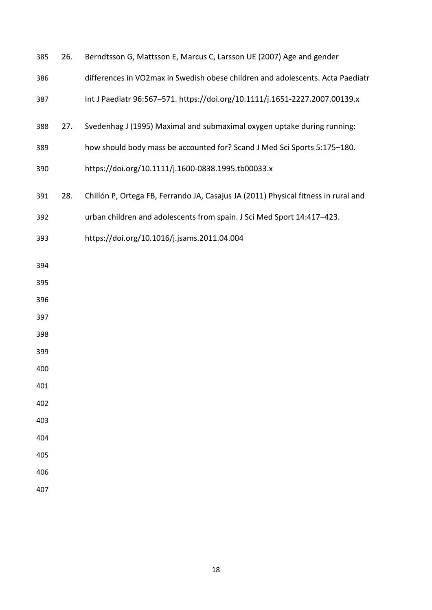| 385 | 26. | Berndtsson G, Mattsson E, Marcus C, Larsson UE (2007) Age and gender               |
|-----|-----|------------------------------------------------------------------------------------|
| 386 |     | differences in VO2max in Swedish obese children and adolescents. Acta Paediatr     |
| 387 |     | Int J Paediatr 96:567-571. https://doi.org/10.1111/j.1651-2227.2007.00139.x        |
| 388 | 27. | Svedenhag J (1995) Maximal and submaximal oxygen uptake during running:            |
| 389 |     | how should body mass be accounted for? Scand J Med Sci Sports 5:175-180.           |
| 390 |     | https://doi.org/10.1111/j.1600-0838.1995.tb00033.x                                 |
| 391 | 28. | Chillón P, Ortega FB, Ferrando JA, Casajus JA (2011) Physical fitness in rural and |
| 392 |     | urban children and adolescents from spain. J Sci Med Sport 14:417-423.             |
| 393 |     | https://doi.org/10.1016/j.jsams.2011.04.004                                        |
| 394 |     |                                                                                    |
| 395 |     |                                                                                    |
| 396 |     |                                                                                    |
| 397 |     |                                                                                    |
| 398 |     |                                                                                    |
| 399 |     |                                                                                    |
| 400 |     |                                                                                    |
| 401 |     |                                                                                    |
| 402 |     |                                                                                    |
| 403 |     |                                                                                    |
| 404 |     |                                                                                    |
| 405 |     |                                                                                    |
| 406 |     |                                                                                    |
| 407 |     |                                                                                    |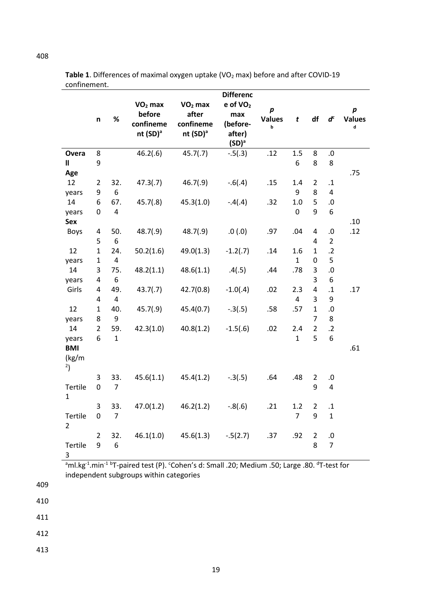|                  | %<br>n              |                         | $VO2$ max<br>before<br>confineme<br>nt (SD) <sup>a</sup> | $VO2$ max<br>after<br>confineme<br>nt (SD) <sup>a</sup> | <b>Differenc</b><br>$e$ of $VO2$<br>max<br>(before-<br>after)<br>(SD) <sup>a</sup> | $\boldsymbol{p}$<br><b>Values</b><br>b | $\mathbf{t}$   | df                  | $\boldsymbol{d}^c$ | p<br><b>Values</b><br>d |
|------------------|---------------------|-------------------------|----------------------------------------------------------|---------------------------------------------------------|------------------------------------------------------------------------------------|----------------------------------------|----------------|---------------------|--------------------|-------------------------|
| Overa            | 8                   |                         | 46.2(.6)                                                 | 45.7(.7)                                                | $-.5(.3)$                                                                          | .12                                    | 1.5            | 8                   | .0                 |                         |
| $\mathbf{I}$     | 9                   |                         |                                                          |                                                         |                                                                                    |                                        | 6              | 8                   | 8                  |                         |
| Age              |                     |                         |                                                          |                                                         |                                                                                    |                                        |                |                     |                    | .75                     |
| 12               | 2                   | 32.                     | 47.3(.7)                                                 | 46.7(.9)                                                | $-.6(.4)$                                                                          | .15                                    | 1.4            | $\overline{2}$      | $\cdot$ 1          |                         |
| years            | 9                   | 6                       |                                                          |                                                         |                                                                                    |                                        | 9              | 8                   | 4                  |                         |
| 14               | 6                   | 67.                     | 45.7(.8)                                                 | 45.3(1.0)                                               | $-.4(.4)$                                                                          | .32                                    | 1.0            | 5                   | $\cdot 0$          |                         |
| years            | 0                   | $\overline{\mathbf{4}}$ |                                                          |                                                         |                                                                                    |                                        | 0              | 9                   | 6                  |                         |
| <b>Sex</b>       |                     |                         |                                                          |                                                         |                                                                                    |                                        |                |                     |                    | .10                     |
| <b>Boys</b>      | 4                   | 50.                     | 48.7(.9)                                                 | 48.7(.9)                                                | .0(0.0)                                                                            | .97                                    | .04            | 4                   | $\cdot$ 0          | .12                     |
|                  | 5                   | 6                       |                                                          |                                                         |                                                                                    |                                        |                | 4                   | $\overline{2}$     |                         |
| 12               | $\mathbf{1}$        | 24.                     | 50.2(1.6)                                                | 49.0(1.3)                                               | $-1.2(.7)$                                                                         | .14                                    | 1.6            | 1                   | $\cdot$ .2         |                         |
| years            | $\mathbf{1}$        | $\overline{\mathbf{4}}$ |                                                          |                                                         |                                                                                    |                                        | $\mathbf{1}$   | 0                   | 5                  |                         |
| 14               | 3                   | 75.                     | 48.2(1.1)                                                | 48.6(1.1)                                               | .4(.5)                                                                             | .44                                    | .78            | 3                   | $\cdot$ 0          |                         |
| years            | 4                   | 6                       |                                                          |                                                         |                                                                                    |                                        |                | 3                   | 6                  |                         |
| Girls            | 4                   | 49.                     | 43.7(.7)                                                 | 42.7(0.8)                                               | $-1.0(.4)$                                                                         | .02                                    | 2.3            | 4                   | $\mathbf{.1}$      | .17                     |
|                  | 4                   | $\overline{4}$          |                                                          |                                                         |                                                                                    |                                        | $\overline{4}$ | 3                   | 9                  |                         |
| 12               | $\mathbf{1}$        | 40.                     | 45.7(.9)                                                 | 45.4(0.7)                                               | $-.3(.5)$                                                                          | .58                                    | .57            | $\mathbf{1}$        | $\cdot$ 0          |                         |
| years            | 8                   | 9                       |                                                          |                                                         |                                                                                    |                                        |                | $\overline{7}$      | 8                  |                         |
| 14               | $\overline{2}$      | 59.                     | 42.3(1.0)                                                | 40.8(1.2)                                               | $-1.5(.6)$                                                                         | .02                                    | 2.4            | $\overline{2}$      | $\cdot$ .2         |                         |
| years            | 6                   | $\mathbf{1}$            |                                                          |                                                         |                                                                                    |                                        | $\mathbf{1}$   | 5                   | 6                  |                         |
| <b>BMI</b>       |                     |                         |                                                          |                                                         |                                                                                    |                                        |                |                     |                    | .61                     |
| (kg/m)<br>$^{2}$ |                     |                         |                                                          |                                                         |                                                                                    |                                        |                |                     |                    |                         |
| Tertile<br>1     | 3<br>0              | 33.<br>$\overline{7}$   | 45.6(1.1)                                                | 45.4(1.2)                                               | $-.3(.5)$                                                                          | .64                                    | .48            | 2<br>9              | .0<br>4            |                         |
|                  | 3                   | 33.                     | 47.0(1.2)                                                | 46.2(1.2)                                               | $-.8(.6)$                                                                          | .21                                    | 1.2            | $\overline{2}$      | $\cdot\mathbf{1}$  |                         |
| Tertile<br>2     | 0                   | $\overline{7}$          |                                                          |                                                         |                                                                                    |                                        | $\overline{7}$ | 9                   | $\mathbf{1}$       |                         |
| Tertile<br>3     | $\overline{2}$<br>9 | 32.<br>6                | 46.1(1.0)                                                | 45.6(1.3)                                               | $-.5(2.7)$                                                                         | .37                                    | .92            | $\overline{2}$<br>8 | $.0\,$<br>7        |                         |

Table 1. Differences of maximal oxygen uptake (VO<sub>2</sub> max) before and after COVID-19 confinement.

<sup>a</sup>ml.kg<sup>-1</sup>.min<sup>-1 b</sup>T-paired test (P). 'Cohen's d: Small .20; Medium .50; Large .80. <sup>d</sup>T-test for independent subgroups within categories

409

410

411

412